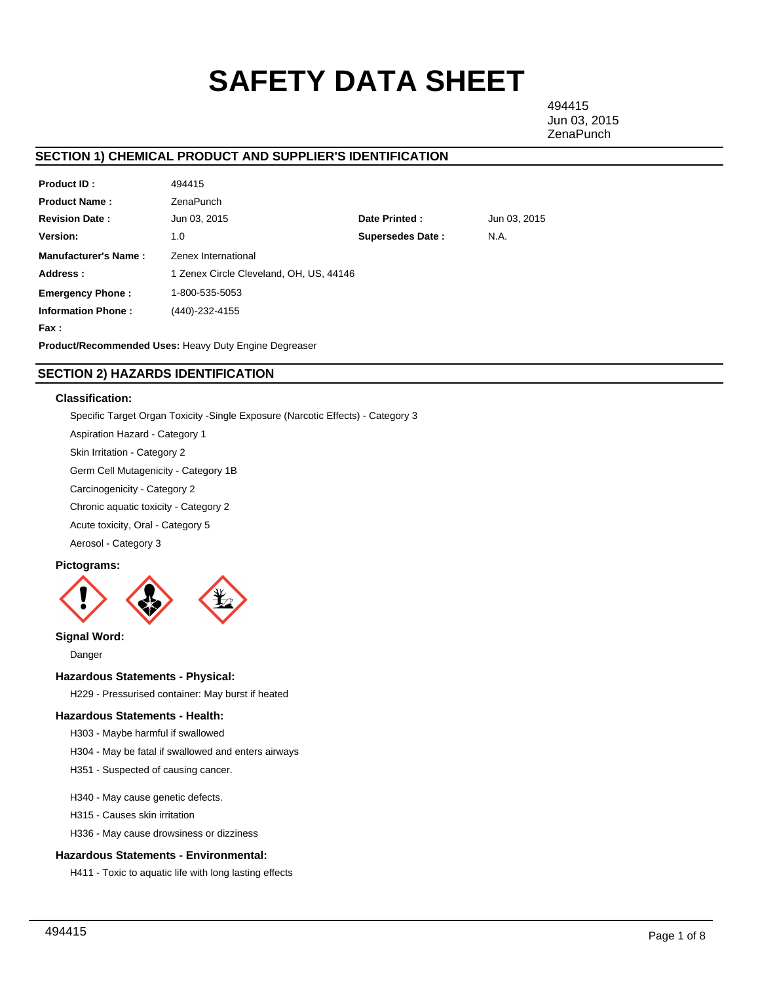# **SAFETY DATA SHEET**

494415 Jun 03, 2015 **ZenaPunch** 

# **SECTION 1) CHEMICAL PRODUCT AND SUPPLIER'S IDENTIFICATION**

| <b>Product ID:</b>                                    | 494415                                  |                         |              |  |  |
|-------------------------------------------------------|-----------------------------------------|-------------------------|--------------|--|--|
| <b>Product Name:</b>                                  | ZenaPunch                               |                         |              |  |  |
| <b>Revision Date:</b>                                 | Jun 03, 2015                            | Date Printed:           | Jun 03, 2015 |  |  |
| <b>Version:</b>                                       | 1.0                                     | <b>Supersedes Date:</b> | N.A.         |  |  |
| <b>Manufacturer's Name:</b>                           | Zenex International                     |                         |              |  |  |
| Address:                                              | 1 Zenex Circle Cleveland, OH, US, 44146 |                         |              |  |  |
| <b>Emergency Phone:</b>                               | 1-800-535-5053                          |                         |              |  |  |
| <b>Information Phone:</b>                             | (440)-232-4155                          |                         |              |  |  |
| Fax :                                                 |                                         |                         |              |  |  |
| Product/Recommended Uses: Heavy Duty Engine Degreaser |                                         |                         |              |  |  |

# **SECTION 2) HAZARDS IDENTIFICATION**

# **Classification:**

Specific Target Organ Toxicity -Single Exposure (Narcotic Effects) - Category 3

Aspiration Hazard - Category 1

Skin Irritation - Category 2

Germ Cell Mutagenicity - Category 1B

Carcinogenicity - Category 2

Chronic aquatic toxicity - Category 2

Acute toxicity, Oral - Category 5

Aerosol - Category 3

# **Pictograms:**



**Signal Word:**

Danger

# **Hazardous Statements - Physical:**

H229 - Pressurised container: May burst if heated

# **Hazardous Statements - Health:**

H303 - Maybe harmful if swallowed

H304 - May be fatal if swallowed and enters airways

H351 - Suspected of causing cancer.

## H340 - May cause genetic defects.

H315 - Causes skin irritation

H336 - May cause drowsiness or dizziness

# **Hazardous Statements - Environmental:**

H411 - Toxic to aquatic life with long lasting effects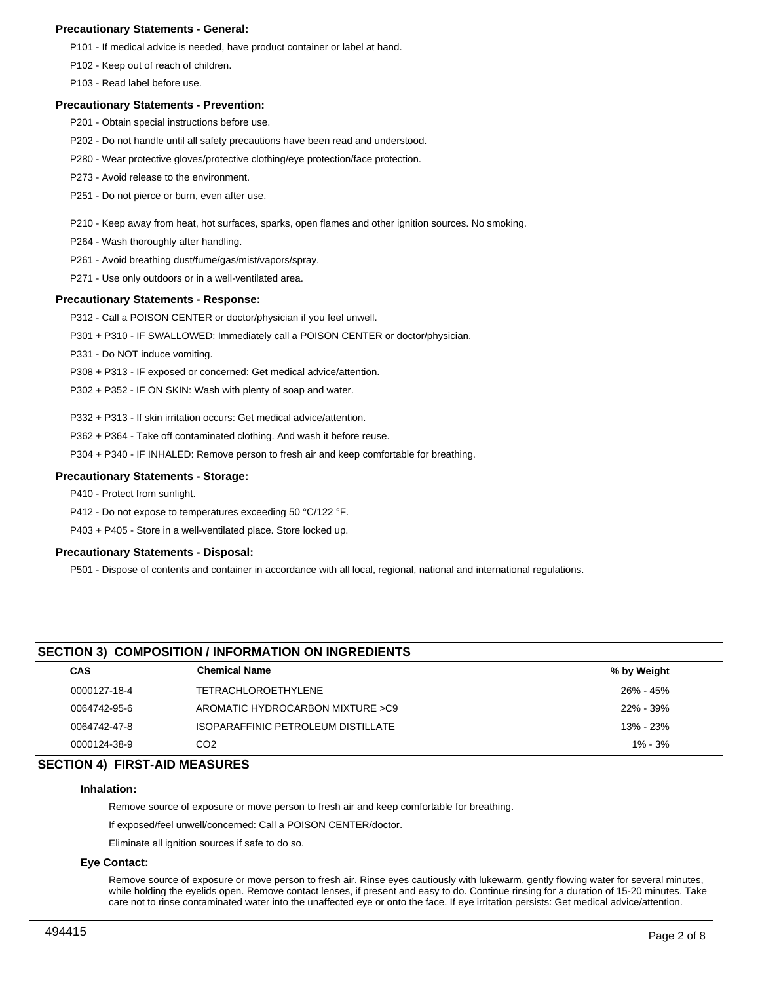# **Precautionary Statements - General:**

P101 - If medical advice is needed, have product container or label at hand.

P102 - Keep out of reach of children.

P103 - Read label before use.

## **Precautionary Statements - Prevention:**

- P201 Obtain special instructions before use.
- P202 Do not handle until all safety precautions have been read and understood.
- P280 Wear protective gloves/protective clothing/eye protection/face protection.
- P273 Avoid release to the environment.
- P251 Do not pierce or burn, even after use.

#### P210 - Keep away from heat, hot surfaces, sparks, open flames and other ignition sources. No smoking.

- P264 Wash thoroughly after handling.
- P261 Avoid breathing dust/fume/gas/mist/vapors/spray.
- P271 Use only outdoors or in a well-ventilated area.

## **Precautionary Statements - Response:**

P312 - Call a POISON CENTER or doctor/physician if you feel unwell.

P301 + P310 - IF SWALLOWED: Immediately call a POISON CENTER or doctor/physician.

- P331 Do NOT induce vomiting.
- P308 + P313 IF exposed or concerned: Get medical advice/attention.
- P302 + P352 IF ON SKIN: Wash with plenty of soap and water.

P332 + P313 - If skin irritation occurs: Get medical advice/attention.

P362 + P364 - Take off contaminated clothing. And wash it before reuse.

P304 + P340 - IF INHALED: Remove person to fresh air and keep comfortable for breathing.

## **Precautionary Statements - Storage:**

P410 - Protect from sunlight.

P412 - Do not expose to temperatures exceeding 50 °C/122 °F.

P403 + P405 - Store in a well-ventilated place. Store locked up.

#### **Precautionary Statements - Disposal:**

P501 - Dispose of contents and container in accordance with all local, regional, national and international regulations.

# **SECTION 3) COMPOSITION / INFORMATION ON INGREDIENTS**

| <b>CAS</b>                   | <b>Chemical Name</b>               | % by Weight |  |  |  |
|------------------------------|------------------------------------|-------------|--|--|--|
| 0000127-18-4                 | <b>TETRACHLOROETHYLENE</b>         | 26% - 45%   |  |  |  |
| 0064742-95-6                 | AROMATIC HYDROCARBON MIXTURE >C9   | 22% - 39%   |  |  |  |
| 0064742-47-8                 | ISOPARAFFINIC PETROLEUM DISTILLATE | 13% - 23%   |  |  |  |
| 0000124-38-9                 | CO <sub>2</sub>                    | $1\% - 3\%$ |  |  |  |
| FATIAN AL FIDAT AIR MEAGUREA |                                    |             |  |  |  |

# **SECTION 4) FIRST-AID MEASURES**

# **Inhalation:**

Remove source of exposure or move person to fresh air and keep comfortable for breathing.

If exposed/feel unwell/concerned: Call a POISON CENTER/doctor.

Eliminate all ignition sources if safe to do so.

## **Eye Contact:**

Remove source of exposure or move person to fresh air. Rinse eyes cautiously with lukewarm, gently flowing water for several minutes, while holding the eyelids open. Remove contact lenses, if present and easy to do. Continue rinsing for a duration of 15-20 minutes. Take care not to rinse contaminated water into the unaffected eye or onto the face. If eye irritation persists: Get medical advice/attention.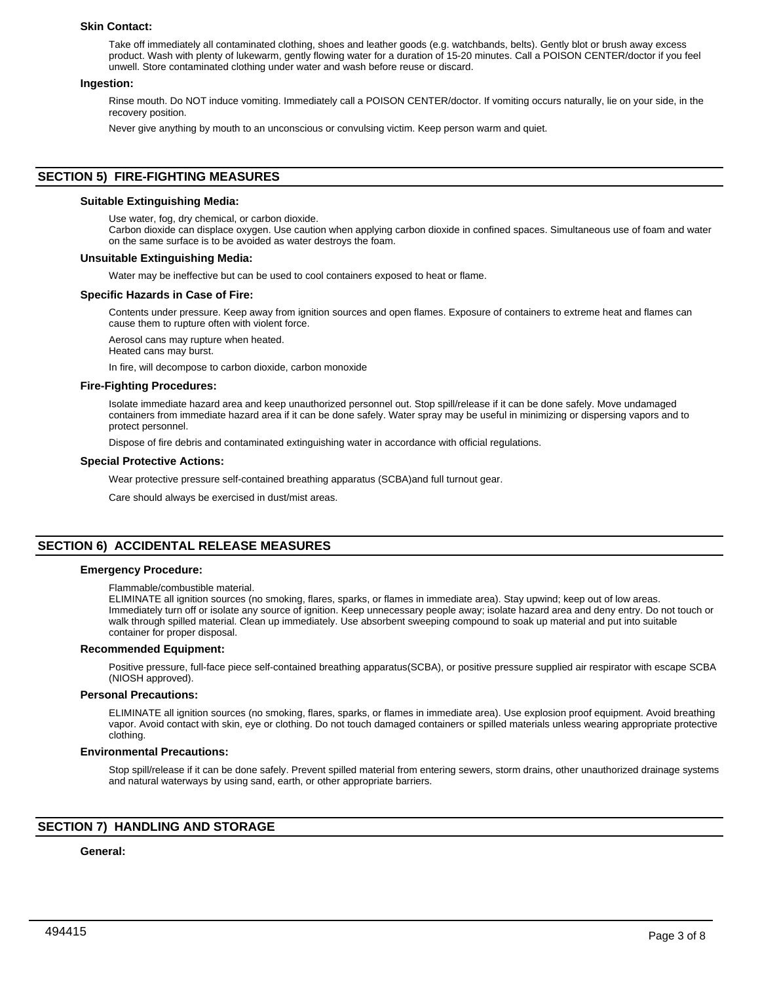## **Skin Contact:**

Take off immediately all contaminated clothing, shoes and leather goods (e.g. watchbands, belts). Gently blot or brush away excess product. Wash with plenty of lukewarm, gently flowing water for a duration of 15-20 minutes. Call a POISON CENTER/doctor if you feel unwell. Store contaminated clothing under water and wash before reuse or discard.

#### **Ingestion:**

Rinse mouth. Do NOT induce vomiting. Immediately call a POISON CENTER/doctor. If vomiting occurs naturally, lie on your side, in the recovery position.

Never give anything by mouth to an unconscious or convulsing victim. Keep person warm and quiet.

# **SECTION 5) FIRE-FIGHTING MEASURES**

#### **Suitable Extinguishing Media:**

Use water, fog, dry chemical, or carbon dioxide.

Carbon dioxide can displace oxygen. Use caution when applying carbon dioxide in confined spaces. Simultaneous use of foam and water on the same surface is to be avoided as water destroys the foam.

#### **Unsuitable Extinguishing Media:**

Water may be ineffective but can be used to cool containers exposed to heat or flame.

#### **Specific Hazards in Case of Fire:**

Contents under pressure. Keep away from ignition sources and open flames. Exposure of containers to extreme heat and flames can cause them to rupture often with violent force.

Aerosol cans may rupture when heated.

Heated cans may burst.

In fire, will decompose to carbon dioxide, carbon monoxide

#### **Fire-Fighting Procedures:**

Isolate immediate hazard area and keep unauthorized personnel out. Stop spill/release if it can be done safely. Move undamaged containers from immediate hazard area if it can be done safely. Water spray may be useful in minimizing or dispersing vapors and to protect personnel.

Dispose of fire debris and contaminated extinguishing water in accordance with official regulations.

#### **Special Protective Actions:**

Wear protective pressure self-contained breathing apparatus (SCBA)and full turnout gear.

Care should always be exercised in dust/mist areas.

# **SECTION 6) ACCIDENTAL RELEASE MEASURES**

#### **Emergency Procedure:**

#### Flammable/combustible material.

ELIMINATE all ignition sources (no smoking, flares, sparks, or flames in immediate area). Stay upwind; keep out of low areas. Immediately turn off or isolate any source of ignition. Keep unnecessary people away; isolate hazard area and deny entry. Do not touch or walk through spilled material. Clean up immediately. Use absorbent sweeping compound to soak up material and put into suitable container for proper disposal.

#### **Recommended Equipment:**

Positive pressure, full-face piece self-contained breathing apparatus(SCBA), or positive pressure supplied air respirator with escape SCBA (NIOSH approved).

## **Personal Precautions:**

ELIMINATE all ignition sources (no smoking, flares, sparks, or flames in immediate area). Use explosion proof equipment. Avoid breathing vapor. Avoid contact with skin, eye or clothing. Do not touch damaged containers or spilled materials unless wearing appropriate protective clothing.

#### **Environmental Precautions:**

Stop spill/release if it can be done safely. Prevent spilled material from entering sewers, storm drains, other unauthorized drainage systems and natural waterways by using sand, earth, or other appropriate barriers.

# **SECTION 7) HANDLING AND STORAGE**

# **General:**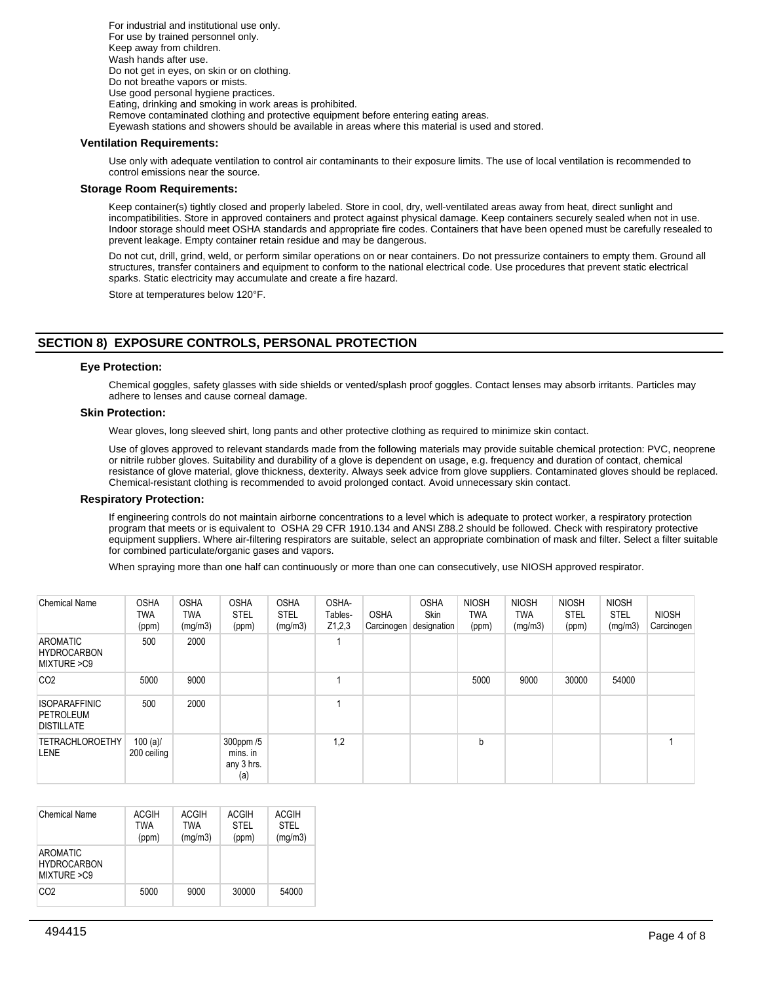For industrial and institutional use only. For use by trained personnel only. Keep away from children. Wash hands after use. Do not get in eyes, on skin or on clothing. Do not breathe vapors or mists. Use good personal hygiene practices. Eating, drinking and smoking in work areas is prohibited. Remove contaminated clothing and protective equipment before entering eating areas. Eyewash stations and showers should be available in areas where this material is used and stored.

## **Ventilation Requirements:**

Use only with adequate ventilation to control air contaminants to their exposure limits. The use of local ventilation is recommended to control emissions near the source.

## **Storage Room Requirements:**

Keep container(s) tightly closed and properly labeled. Store in cool, dry, well-ventilated areas away from heat, direct sunlight and incompatibilities. Store in approved containers and protect against physical damage. Keep containers securely sealed when not in use. Indoor storage should meet OSHA standards and appropriate fire codes. Containers that have been opened must be carefully resealed to prevent leakage. Empty container retain residue and may be dangerous.

Do not cut, drill, grind, weld, or perform similar operations on or near containers. Do not pressurize containers to empty them. Ground all structures, transfer containers and equipment to conform to the national electrical code. Use procedures that prevent static electrical sparks. Static electricity may accumulate and create a fire hazard.

Store at temperatures below 120°F.

# **SECTION 8) EXPOSURE CONTROLS, PERSONAL PROTECTION**

## **Eye Protection:**

Chemical goggles, safety glasses with side shields or vented/splash proof goggles. Contact lenses may absorb irritants. Particles may adhere to lenses and cause corneal damage.

# **Skin Protection:**

Wear gloves, long sleeved shirt, long pants and other protective clothing as required to minimize skin contact.

Use of gloves approved to relevant standards made from the following materials may provide suitable chemical protection: PVC, neoprene or nitrile rubber gloves. Suitability and durability of a glove is dependent on usage, e.g. frequency and duration of contact, chemical resistance of glove material, glove thickness, dexterity. Always seek advice from glove suppliers. Contaminated gloves should be replaced. Chemical-resistant clothing is recommended to avoid prolonged contact. Avoid unnecessary skin contact.

## **Respiratory Protection:**

If engineering controls do not maintain airborne concentrations to a level which is adequate to protect worker, a respiratory protection program that meets or is equivalent to OSHA 29 CFR 1910.134 and ANSI Z88.2 should be followed. Check with respiratory protective equipment suppliers. Where air-filtering respirators are suitable, select an appropriate combination of mask and filter. Select a filter suitable for combined particulate/organic gases and vapors.

When spraying more than one half can continuously or more than one can consecutively, use NIOSH approved respirator.

| <b>Chemical Name</b>                                   | <b>OSHA</b><br>TWA<br>(ppm) | <b>OSHA</b><br>TWA<br>(mg/m3) | <b>OSHA</b><br><b>STEL</b><br>(ppm)        | <b>OSHA</b><br>STEL<br>(mg/m3) | OSHA-<br>Tables-<br>Z1,2,3 | <b>OSHA</b><br>Carcinogen | <b>OSHA</b><br><b>Skin</b><br>designation | <b>NIOSH</b><br>TWA<br>(ppm) | <b>NIOSH</b><br><b>TWA</b><br>(mg/m3) | <b>NIOSH</b><br><b>STEL</b><br>(ppm) | <b>NIOSH</b><br><b>STEL</b><br>(mg/m3) | <b>NIOSH</b><br>Carcinogen |
|--------------------------------------------------------|-----------------------------|-------------------------------|--------------------------------------------|--------------------------------|----------------------------|---------------------------|-------------------------------------------|------------------------------|---------------------------------------|--------------------------------------|----------------------------------------|----------------------------|
| <b>AROMATIC</b><br><b>HYDROCARBON</b><br>MIXTURE > C9  | 500                         | 2000                          |                                            |                                |                            |                           |                                           |                              |                                       |                                      |                                        |                            |
| CO <sub>2</sub>                                        | 5000                        | 9000                          |                                            |                                |                            |                           |                                           | 5000                         | 9000                                  | 30000                                | 54000                                  |                            |
| <b>ISOPARAFFINIC</b><br>PETROLEUM<br><b>DISTILLATE</b> | 500                         | 2000                          |                                            |                                |                            |                           |                                           |                              |                                       |                                      |                                        |                            |
| <b>TETRACHLOROETHY</b><br>LENE                         | $100 (a)$ /<br>200 ceiling  |                               | 300ppm /5<br>mins. in<br>any 3 hrs.<br>(a) |                                | 1,2                        |                           |                                           | b                            |                                       |                                      |                                        |                            |

| <b>Chemical Name</b>                                  | ACGIH<br>TWA<br>(ppm) | ACGIH<br><b>TWA</b><br>(mg/m3) | <b>ACGIH</b><br><b>STEL</b><br>(ppm) | <b>ACGIH</b><br><b>STEL</b><br>(mg/m3) |
|-------------------------------------------------------|-----------------------|--------------------------------|--------------------------------------|----------------------------------------|
| <b>AROMATIC</b><br><b>HYDROCARBON</b><br>MIXTURE > C9 |                       |                                |                                      |                                        |
| CO <sub>2</sub>                                       | 5000                  | 9000                           | 30000                                | 54000                                  |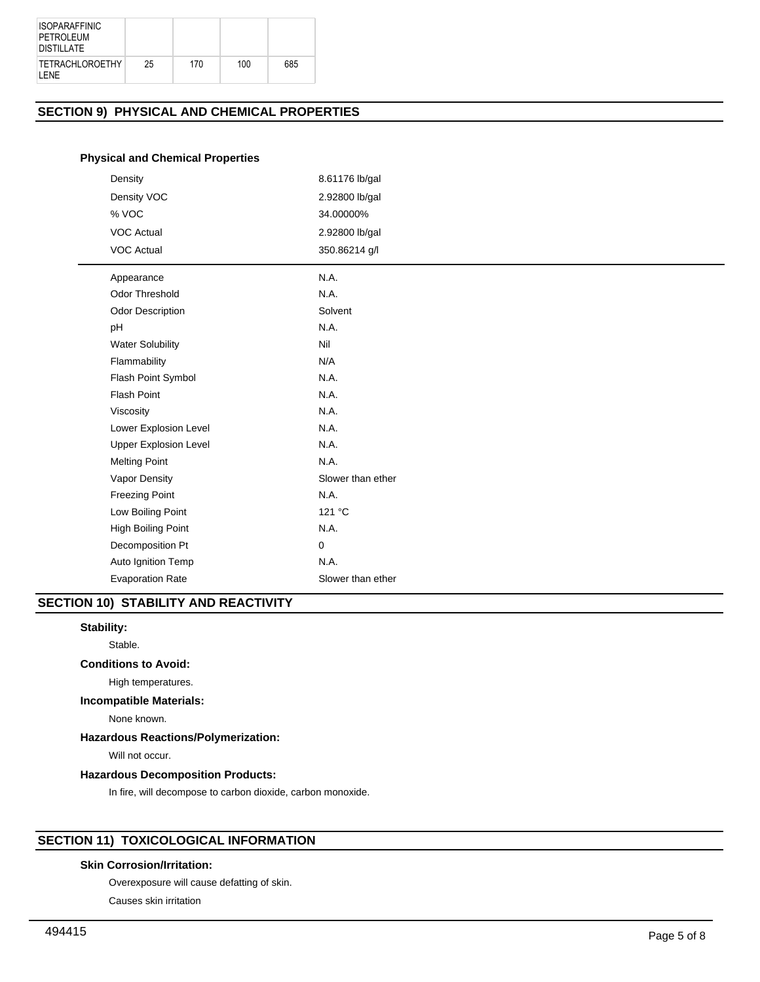| <b>ISOPARAFFINIC</b><br>PETROLEUM<br><b>DISTILLATE</b> |    |     |     |     |
|--------------------------------------------------------|----|-----|-----|-----|
| <b>TETRACHLOROETHY</b><br>I FNF                        | 25 | 170 | 100 | 685 |

# **SECTION 9) PHYSICAL AND CHEMICAL PROPERTIES**

# **Physical and Chemical Properties**

| Density                      | 8.61176 lb/gal    |
|------------------------------|-------------------|
| Density VOC                  | 2.92800 lb/gal    |
| % VOC                        | 34.00000%         |
| <b>VOC Actual</b>            | 2.92800 lb/gal    |
| <b>VOC Actual</b>            | 350.86214 g/l     |
| Appearance                   | N.A.              |
| Odor Threshold               | N.A.              |
| <b>Odor Description</b>      | Solvent           |
| pH                           | N.A.              |
| <b>Water Solubility</b>      | Nil               |
| Flammability                 | N/A               |
| Flash Point Symbol           | N.A.              |
| <b>Flash Point</b>           | N.A.              |
| Viscosity                    | N.A.              |
| Lower Explosion Level        | N.A.              |
| <b>Upper Explosion Level</b> | N.A.              |
| <b>Melting Point</b>         | N.A.              |
| Vapor Density                | Slower than ether |
| <b>Freezing Point</b>        | N.A.              |
| Low Boiling Point            | 121 °C            |
| <b>High Boiling Point</b>    | N.A.              |
| Decomposition Pt             | 0                 |
| Auto Ignition Temp           | N.A.              |
| <b>Evaporation Rate</b>      | Slower than ether |

# **SECTION 10) STABILITY AND REACTIVITY**

# **Stability:**

Stable.

# **Conditions to Avoid:**

High temperatures.

# **Incompatible Materials:**

None known.

# **Hazardous Reactions/Polymerization:**

Will not occur.

## **Hazardous Decomposition Products:**

In fire, will decompose to carbon dioxide, carbon monoxide.

# **SECTION 11) TOXICOLOGICAL INFORMATION**

# **Skin Corrosion/Irritation:**

Overexposure will cause defatting of skin.

Causes skin irritation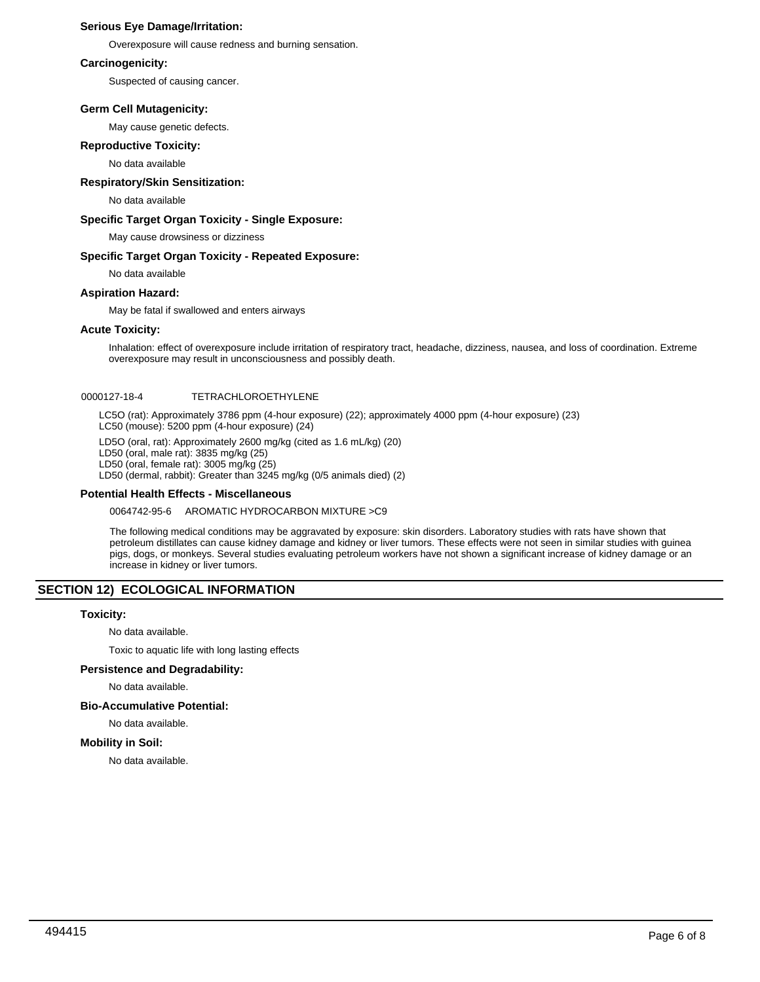# **Serious Eye Damage/Irritation:**

Overexposure will cause redness and burning sensation.

# **Carcinogenicity:**

Suspected of causing cancer.

# **Germ Cell Mutagenicity:**

May cause genetic defects.

# **Reproductive Toxicity:**

No data available

# **Respiratory/Skin Sensitization:**

No data available

# **Specific Target Organ Toxicity - Single Exposure:**

May cause drowsiness or dizziness

# **Specific Target Organ Toxicity - Repeated Exposure:**

No data available

# **Aspiration Hazard:**

May be fatal if swallowed and enters airways

# **Acute Toxicity:**

Inhalation: effect of overexposure include irritation of respiratory tract, headache, dizziness, nausea, and loss of coordination. Extreme overexposure may result in unconsciousness and possibly death.

# 0000127-18-4 TETRACHLOROETHYLENE

LC5O (rat): Approximately 3786 ppm (4-hour exposure) (22); approximately 4000 ppm (4-hour exposure) (23) LC50 (mouse): 5200 ppm (4-hour exposure) (24)

LD5O (oral, rat): Approximately 2600 mg/kg (cited as 1.6 mL/kg) (20)

LD50 (oral, male rat): 3835 mg/kg (25)

LD50 (oral, female rat): 3005 mg/kg (25)

LD50 (dermal, rabbit): Greater than 3245 mg/kg (0/5 animals died) (2)

## **Potential Health Effects - Miscellaneous**

0064742-95-6 AROMATIC HYDROCARBON MIXTURE >C9

The following medical conditions may be aggravated by exposure: skin disorders. Laboratory studies with rats have shown that petroleum distillates can cause kidney damage and kidney or liver tumors. These effects were not seen in similar studies with guinea pigs, dogs, or monkeys. Several studies evaluating petroleum workers have not shown a significant increase of kidney damage or an increase in kidney or liver tumors.

# **SECTION 12) ECOLOGICAL INFORMATION**

## **Toxicity:**

No data available.

Toxic to aquatic life with long lasting effects

## **Persistence and Degradability:**

No data available.

## **Bio-Accumulative Potential:**

No data available.

## **Mobility in Soil:**

No data available.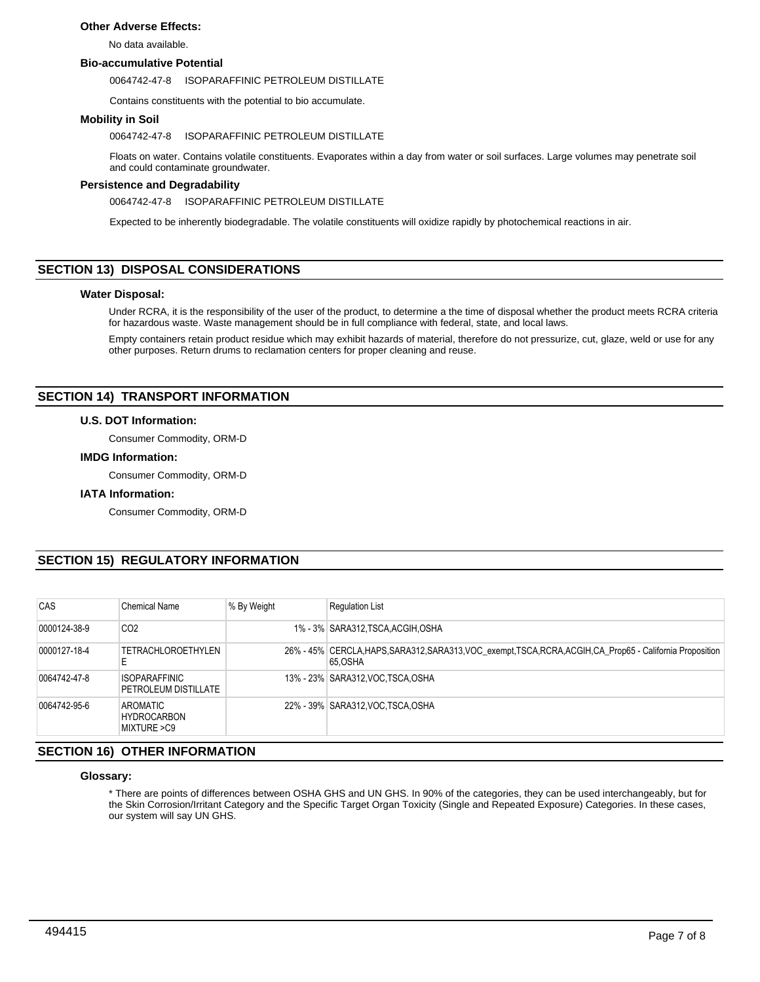# **Other Adverse Effects:**

No data available.

## **Bio-accumulative Potential**

#### 0064742-47-8 ISOPARAFFINIC PETROLEUM DISTILLATE

Contains constituents with the potential to bio accumulate.

# **Mobility in Soil**

## 0064742-47-8 ISOPARAFFINIC PETROLEUM DISTILLATE

Floats on water. Contains volatile constituents. Evaporates within a day from water or soil surfaces. Large volumes may penetrate soil and could contaminate groundwater.

## **Persistence and Degradability**

0064742-47-8 ISOPARAFFINIC PETROLEUM DISTILLATE

Expected to be inherently biodegradable. The volatile constituents will oxidize rapidly by photochemical reactions in air.

# **SECTION 13) DISPOSAL CONSIDERATIONS**

## **Water Disposal:**

Under RCRA, it is the responsibility of the user of the product, to determine a the time of disposal whether the product meets RCRA criteria for hazardous waste. Waste management should be in full compliance with federal, state, and local laws.

Empty containers retain product residue which may exhibit hazards of material, therefore do not pressurize, cut, glaze, weld or use for any other purposes. Return drums to reclamation centers for proper cleaning and reuse.

# **SECTION 14) TRANSPORT INFORMATION**

## **U.S. DOT Information:**

Consumer Commodity, ORM-D

## **IMDG Information:**

Consumer Commodity, ORM-D

## **IATA Information:**

Consumer Commodity, ORM-D

# **SECTION 15) REGULATORY INFORMATION**

| CAS          | Chemical Name                                | % By Weight | <b>Requlation List</b>                                                                                                 |
|--------------|----------------------------------------------|-------------|------------------------------------------------------------------------------------------------------------------------|
| 0000124-38-9 | CO <sub>2</sub>                              |             | 1% - 3% SARA312, TSCA, ACGIH, OSHA                                                                                     |
| 0000127-18-4 | <b>TETRACHLOROETHYLEN</b><br>E               |             | 26% - 45% CERCLA, HAPS, SARA312, SARA313, VOC_exempt, TSCA, RCRA, ACGIH, CA_Prop65 - California Proposition<br>65.OSHA |
| 0064742-47-8 | <b>ISOPARAFFINIC</b><br>PETROLEUM DISTILLATE |             | 13% - 23% SARA312, VOC TSCA, OSHA                                                                                      |
| 0064742-95-6 | AROMATIC_<br>HYDROCARBON<br>MIXTURE >C9      |             | 22% - 39% SARA312, VOC TSCA, OSHA                                                                                      |

# **SECTION 16) OTHER INFORMATION**

## **Glossary:**

\* There are points of differences between OSHA GHS and UN GHS. In 90% of the categories, they can be used interchangeably, but for the Skin Corrosion/Irritant Category and the Specific Target Organ Toxicity (Single and Repeated Exposure) Categories. In these cases, our system will say UN GHS.